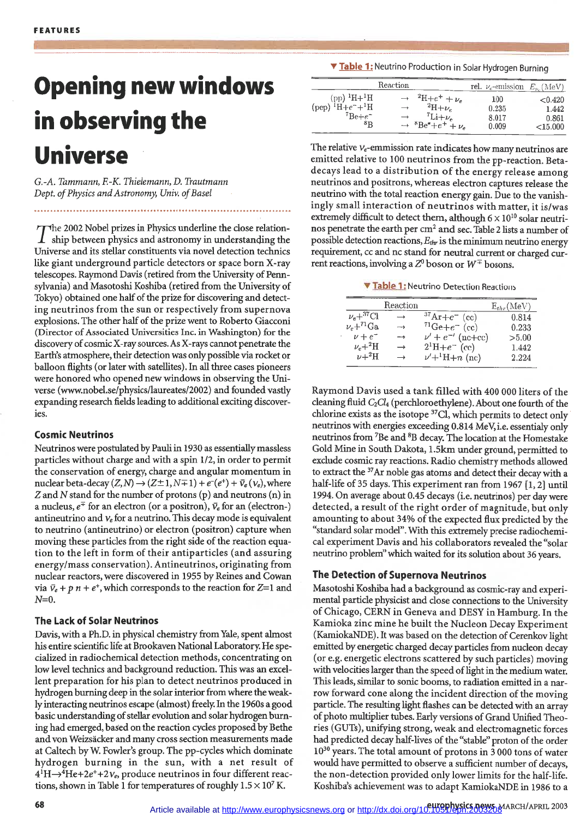# **Opening new windows in observing the Universe**

*G.-A. Tammann, F.-K. Thielemann,* D. *Trautmann Dept.* of Physics and Astronomy, Univ. of Basel

The 2002 Nobel prizes in Physics underline the close relation-<br>ship between physics and astronomy in understanding the Universe and its stellar constituents via novel detection technics like giant underground particle detectors or space born X-ray telescopes. Raymond Davis (retired from the University of Pennsylvania) and Masotoshi Koshiba (retired from the University of Tokyo) obtained one half of the prize for discovering and detecting neutrinos from the sun or respectively from supernova explosions. The other half of the prize went to Roberto Giacconi (Director of Associated Universities Inc. in Washington) for the discovery of cosmic X-ray sources. As X-rays cannot penetrate the Earth's atmosphere, their detection was onlypossible via rocket or balloon flights (or later with satellites). In all three cases pioneers were honored who opened new windows in observing the Universe (www.nobel.se/physicsllaureates/2002) and founded vastly expanding research fields leading to additional exciting discoveries.

# **Cosmic Neutrinos**

Neutrinos were postulated by Pauli in 1930 as essentiallymassless particles without charge and with a spin 1/2, in order to permit the conservation of energy, charge and angular momentum in nuclear beta-decay  $(Z, N) \rightarrow (Z \pm 1, N \mp 1) + e^-(e^+) + \bar{v}_e(\nu_e)$ , where Z and N stand for the number of protons (p) and neutrons (n) in a nucleus,  $e^{\mp}$  for an electron (or a positron),  $\bar{v}_e$  for an (electron-) antineutrino and  $v_e$  for a neutrino. This decay mode is equivalent to neutrino (antineutrino) or electron (positron) capture when moving these particles from the right side of the reaction equation to the left in form of their antiparticles (and assuring energy/mass conservation). Antineutrinos, originating from nuclear reactors, were discovered in 1955 by Reines and Cowan via  $\bar{v}_e + p \bar{n} + e^+$ , which corresponds to the reaction for Z=1 and  $N=0$ .

# **The Lack of Solar Neutrinos**

Davis, with a Ph.D. in physical chemistry from Yale, spent almost his entire scientific life at Brookaven National Laboratory. He specialized in radiochemical detection methods, concentrating on low level technics and background reduction. This was an excellent preparation for his plan to detect neutrinos produced in hydrogen burning deep in the solar interior from where the weak-1y interacting neutrinos escape (almost) freely. In the 1960s a good basic understanding of stellar evolution and solar hydrogen burning had emerged, based on the reaction cycles proposed by Bethe and von Weizsacker and many cross section measurements made at Caltech by W. Fowler's group. The pp-cycles which dominate hydrogen burning in the sun, with a net result of  $4^1H\rightarrow 4He+2e^++2v_e$ , produce neutrinos in four different reactions, shown in Table 1 for temperatures of roughly  $1.5 \times 10^7$  K.

**... Table 1:** Neutrino Production in Solar Hydrogen Burning

|                                                                                                        | Reaction |                                                                                                         | rel. $\nu_e$ -emission $E_{\nu_e}$ (MeV) |                                         |
|--------------------------------------------------------------------------------------------------------|----------|---------------------------------------------------------------------------------------------------------|------------------------------------------|-----------------------------------------|
| (pp) ${}^{1}H+{}^{1}H$<br>$(pep)$ <sup>1</sup> H+ $e^-$ + <sup>1</sup> H<br>$^7Be+e^-$<br>$_{\rm ^8R}$ |          | $^{2}H+e^{+}+\nu_{e}$<br>$^{2}H+\nu_{c}$<br>$\tau_{Li+\nu_e}$<br>$\rightarrow$ ${}^{8}Be^*+e^+ + \nu_e$ | 100<br>0.235<br>8.017<br>0.009           | < 0.420<br>1.442<br>0.861<br>$<$ 15.000 |

The relative  $v_e$ -emmission rate indicates how many neutrinos are emitted relative to 100 neutrinos from the pp-reaction. Betadecays lead to a distribution of the energy release among neutrinos and positrons, whereas electron captures release the neutrino with the total reaction energy gain. Due to the vanishingly small interaction of neutrinos with matter, it is/was extremely difficult to detect them, although  $6 \times 10^{10}$  solar neutrinos penetrate the earth per cm<sup>2</sup> and sec. Table 2 lists a number of possible detection reactions, *Ethr* is the minimum neutrino energy requirement, cc and nc stand for neutral current or charged current reactions, involving a  $Z^0$  boson or  $W^{\mp}$  bosons.

**... Table 1**<sup>j</sup> Neutrino Detection Reactions

|                   | Reaction          |                           | $E_{thr}(MeV)$ |
|-------------------|-------------------|---------------------------|----------------|
| $\nu_e+{}^{37}Cl$ | $\longrightarrow$ | $37Ar + e^-$ (cc)         | 0.814          |
| $\nu_e+^{71}Ga$   | $\rightarrow$     | $71 \text{Ge} + e^-$ (cc) | 0.233          |
| $\nu + e^{-}$     | $\rightarrow$     | $\nu' + e^{-t}$ (nc+cc)   | > 5.00         |
| $\nu_e + ^2H$     | $\rightarrow$     | $2^1H + e^-$ (cc)         | 1.442          |
| $\nu + ^2H$       | $\rightarrow$     | $\nu' + ^1H + n$ (nc)     | 2.224          |

Raymond Davis used a tank filled with 400 000 liters of the cleaning fluid  $C_2Cl_4$  (perchloroethylene). About one fourth of the chlorine exists as the isotope 37Cl, which permits to detect only' neutrinos with energies exceeding 0.814 MeV, i.e. essentialy only neutrinos from <sup>7</sup>Be and <sup>8</sup>B decay. The location at the Homestake Gold Mine in South Dakota, 1.5km under ground, permitted to exclude cosmic ray reactions. Radio chemistry methods allowed to extract the <sup>37</sup>Ar noble gas atoms and detect their decay with a half-life of 35 days. This experiment ran from 1967 [1, 2] until 1994. On average about 0.45 decays (i.e. neutrinos) per day were detected, a result of the right order of magnitude, but only amounting to about 34% of the expected flux predicted by the "standard solar model". With this extremely precise radiochemical experiment Davis and his collaborators revealed the "solar neutrino problem"which waited for its solution about 36 years.

# **The Detection of Supernova Neutrinos**

Masotoshi Koshiba had a background as cosmic-ray and experimental particle physicist and close connections to the University of Chicago, CERN in Geneva and DESY in Hamburg. In the Kamioka zinc mine he built the Nucleon Decay Experiment (KamiokaNDE). It was based on the detection of Cerenkov light emitted by energetic charged decay particles from nucleon decay (or e.g. energetic electrons scattered by such particles) moving with velocities larger than the speed of light in the medium water. This leads, similar to sonic booms, to radiation emitted in a narrow forward cone along the incident direction of the moving particle. The resulting light flashes can be detected with an array of photo multiplier tubes. Early versions of Grand Unified Theories (GUTs), unifying strong, weak and electromagnetic forces had predicted decay half-lives of the "stable" proton of the order 10<sup>30</sup> years. The total amount of protons in 3 000 tons of water would have permitted to observe a sufficient number of decays, the non-detection provided only lower limits for the half-life. Koshiba's achievement was to adapt KamiokaNDE in 1986 to a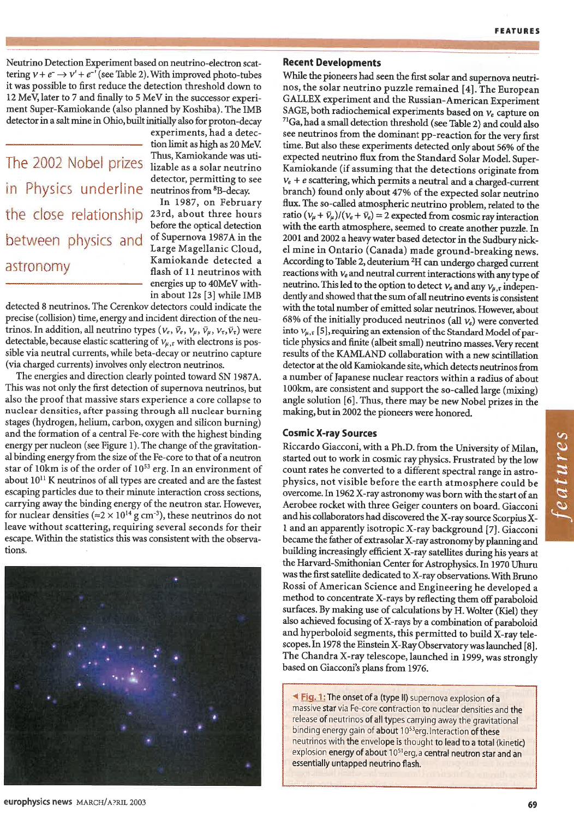Neutrino Detection Experiment based on neutrino-electron scattering  $v + e^- \rightarrow v' + e^{-t}$  (see Table 2). With improved photo-tubes it was possible to first reduce the detection threshold down to 12 MeV, later to 7 and finally to 5 MeV in the successor experiment Super-Kamiokande (also planned by Koshiba). The 1MB detector in a salt mine in Ohio, built initially also for proton-decay

# The 2002 Nobel prizes Thus, Kamiokande was utiin Physics underline neutrinos from BB-decay. the close relationship between physics and of Supernova 1987A in the astronomy flash of 11 neutrinos with

experiments, had a detection limit as high as 20 MeV. detector, permitting to see

In 1987, on February<br>23rd, about three hours before the optical detection<br>of Supernova 1987A in the Kamiokande detected a energies up to 40MeV within about 12s [3] while 1MB

detected 8 neutrinos. The Cerenkov detectors could indicate the precise (collision) time, energy and incident direction of the neutrinos. In addition, all neutrino types  $(v_e, \bar{v}_e, v_\mu, \bar{v}_\mu, v_\tau, \bar{v}_\tau)$  were detectable, because elastic scattering of  $v_{\mu,\tau}$  with electrons is possible via neutral currents, while beta-decay or neutrino capture (via charged currents) involves only electron neutrinos.

The energies and direction clearly pointed toward SN 1987A. This was not only the first detection of supernova neutrinos, but also the proof that massive stars experience a core collapse to nuclear densities, after passing through all nuclear burning stages (hydrogen, helium, carbon, oxygen and silicon burning) and the formation of a central Fe-core with the highest binding energy per nucleon (see Figure 1). The change of the gravitational binding energy from the size of the Fe-core to that of a neutron star of 10km is of the order of 1053 erg. In an environment of about 1011 K neutrinos of all types are created and are the fastest escaping particles due to their minute interaction cross sections, carrying away the binding energy of the neutron star. However, for nuclear densities ( $\approx$ 2 × 10<sup>14</sup> g cm<sup>-3</sup>), these neutrinos do not leave without scattering, requiring several seconds for their escape. Within the statistics this was consistent with the observations.



# **Recent Developments**

While the pioneers had seen the first solar and supernova neutrinos, the solar neutrino puzzle remained [4]. The European GALLEX experiment and the Russian-American Experiment SAGE, both radiochemical experiments based on  $v_e$  capture on 7lGa, had a small detection threshold (see Table 2) and could also see neutrinos from the dominant pp-reaction for the very first time. But also these experiments detected only about 56% of the expected neutrino flux from the Standard Solar Model. Super-Kamiokande (if assuming that the detections originate from  $v_e + e$  scattering, which permits a neutral and a charged-current branch) found only about 47% of the expected solar neutrino flux. The so-called atmospheric neutrino problem, related to the ratio  $(v_u + \bar{v}_u)/(v_e + \bar{v}_e) = 2$  expected from cosmic ray interaction with the earth atmosphere, seemed to create another puzzle. In 2001 and 2002 a heavy water based detector in the Sudbury nickel mine in Ontario (Canada) made ground-breaking news. According to Table 2, deuterium 2H can undergo charged current reactions with *Ve* and neutral current interactionswith any type of neutrino. This led to the option to detect  $v_e$  and any  $v_{\mu,\tau}$  independently and showed that the sum of all neutrino events is consistent with the total number of emitted solar neutrinos. However, about 68% of the initially produced neutrinos (all  $v_e$ ) were converted into  $V_{\mu,\tau}$  [5], requiring an extension of the Standard Model of particle physics and finite (albeit small) neutrino masses. Very recent results of the KAMLAND collaboration with a new scintillation detector at the old Kamiokande site, which detects neutrinos from a number of Japanese nuclear reactors within a radius of about 100km, are consistent and support the so-called large (mixing) angle solution [6]. Thus, there may be new Nobel prizes in the making, but in 2002 the pioneers were honored.

# **Cosmic X-ray Sources**

Riccardo Giacconi, with a Ph.D. from the University of Milan, started out to work in cosmic ray physics. Frustrated by the low count rates he converted to a different spectral range in astrophysics, not visible before the earth atmosphere could be overcome.In 1962 X-ray astronomy was bornwith the start of an Aerobee rocket with three Geiger counters on board. Giacconi and his collaborators had discovered the X-raysource ScorpiusX-1 and an apparently isotropic X-ray background [7]. Giacconi became the father of extrasolar X-ray astronomy by planning and building increasingly efficient X-ray satellites during his years at the Harvard-Smithonian Center for Astrophysics.1n 1970 Uhuru wasthe first satellite dedicated to X-ray observations.With Bruno Rossi of American Science and Engineering he developed a method to concentrate X-rays by reflecting them off paraboloid surfaces. By making use of calculations by H. Wolter (Kiel) they also achieved focusing of X-rays by a combination of paraboloid and hyperboloid segments, this permitted to build X-ray telescopes.1n 1978 the Einstein X-RayObservatorywaslaunched [8]. The Chandra X-ray telescope, launched in 1999, was strongly based on Giacconi's plans from 1976.

**Eig. 1:** The onset of a (type II) supernova explosion of a massive star via Fe-core contraction to nuclear densities and the release of neutrinos of all types carrying away the gravitational binding energy gain of about 10<sup>53</sup>erg. Interaction of these neutrinos with the envelope is thought to lead to a total (kinetic) explosion energy of about 10<sup>51</sup>erg, a central neutron star and an essentially untapped neutrino flash.

europhysics news MARCH/APRIL 2003